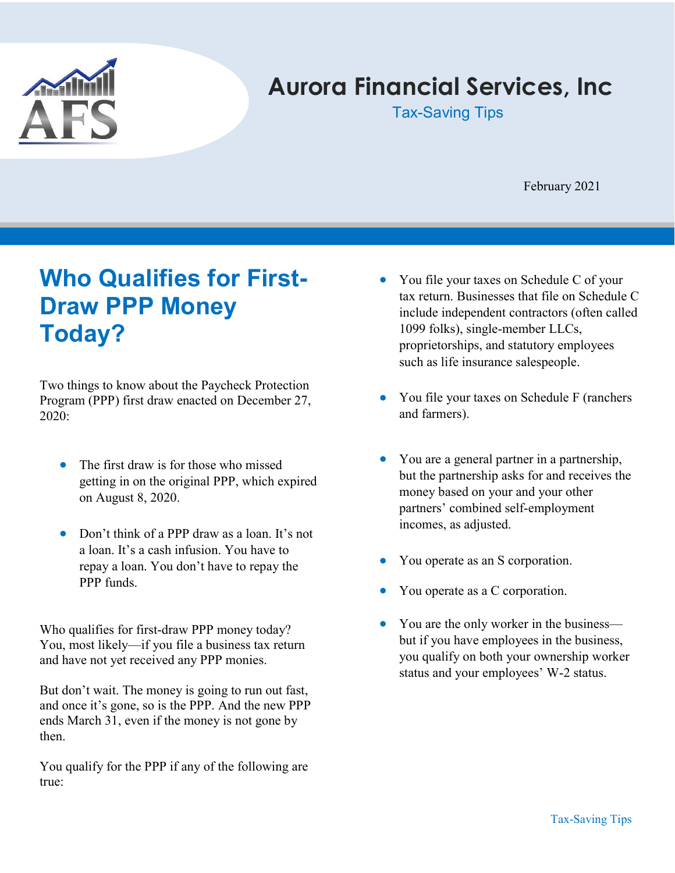

# Aurora Financial Services, Inc

Tax-Saving Tips

February 2021

# Who Qualifies for First-Draw PPP Money Today?

Two things to know about the Paycheck Protection Program (PPP) first draw enacted on December 27, 2020:

- The first draw is for those who missed getting in on the original PPP, which expired on August 8, 2020.
- Don't think of a PPP draw as a loan. It's not a loan. It's a cash infusion. You have to repay a loan. You don't have to repay the PPP funds.

Who qualifies for first-draw PPP money today? You, most likely—if you file a business tax return and have not yet received any PPP monies.

But don't wait. The money is going to run out fast, and once it's gone, so is the PPP. And the new PPP ends March 31, even if the money is not gone by then.

You qualify for the PPP if any of the following are true:

- You file your taxes on Schedule C of your tax return. Businesses that file on Schedule C include independent contractors (often called 1099 folks), single-member LLCs, proprietorships, and statutory employees such as life insurance salespeople.
- You file your taxes on Schedule F (ranchers and farmers).
- You are a general partner in a partnership, but the partnership asks for and receives the money based on your and your other partners' combined self-employment incomes, as adjusted.
- You operate as an S corporation.
- You operate as a C corporation.
- You are the only worker in the business but if you have employees in the business, you qualify on both your ownership worker status and your employees' W-2 status.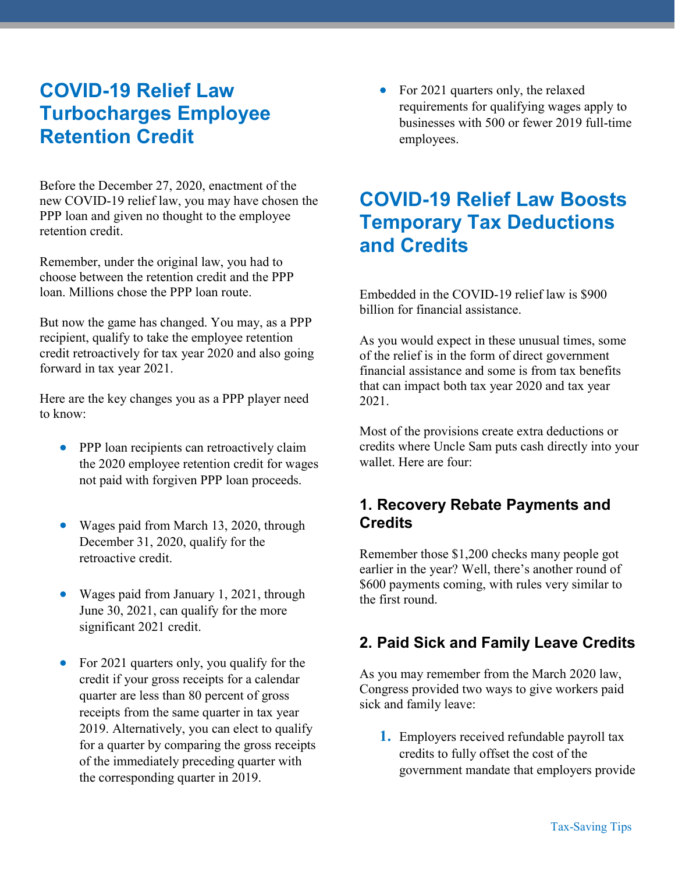## COVID-19 Relief Law Turbocharges Employee Retention Credit

Before the December 27, 2020, enactment of the new COVID-19 relief law, you may have chosen the PPP loan and given no thought to the employee retention credit.

Remember, under the original law, you had to choose between the retention credit and the PPP loan. Millions chose the PPP loan route.

But now the game has changed. You may, as a PPP recipient, qualify to take the employee retention credit retroactively for tax year 2020 and also going forward in tax year 2021.

Here are the key changes you as a PPP player need to know:

- **•** PPP loan recipients can retroactively claim the 2020 employee retention credit for wages not paid with forgiven PPP loan proceeds.
- Wages paid from March 13, 2020, through December 31, 2020, qualify for the retroactive credit.
- Wages paid from January 1, 2021, through June 30, 2021, can qualify for the more significant 2021 credit.
- For 2021 quarters only, you qualify for the credit if your gross receipts for a calendar quarter are less than 80 percent of gross receipts from the same quarter in tax year 2019. Alternatively, you can elect to qualify for a quarter by comparing the gross receipts of the immediately preceding quarter with the corresponding quarter in 2019.

 For 2021 quarters only, the relaxed requirements for qualifying wages apply to businesses with 500 or fewer 2019 full-time employees.

# COVID-19 Relief Law Boosts Temporary Tax Deductions and Credits

Embedded in the COVID-19 relief law is \$900 billion for financial assistance.

As you would expect in these unusual times, some of the relief is in the form of direct government financial assistance and some is from tax benefits that can impact both tax year 2020 and tax year 2021.

Most of the provisions create extra deductions or credits where Uncle Sam puts cash directly into your wallet. Here are four:

### 1. Recovery Rebate Payments and **Credits**

Remember those \$1,200 checks many people got earlier in the year? Well, there's another round of \$600 payments coming, with rules very similar to the first round.

### 2. Paid Sick and Family Leave Credits

As you may remember from the March 2020 law, Congress provided two ways to give workers paid sick and family leave:

1. Employers received refundable payroll tax credits to fully offset the cost of the government mandate that employers provide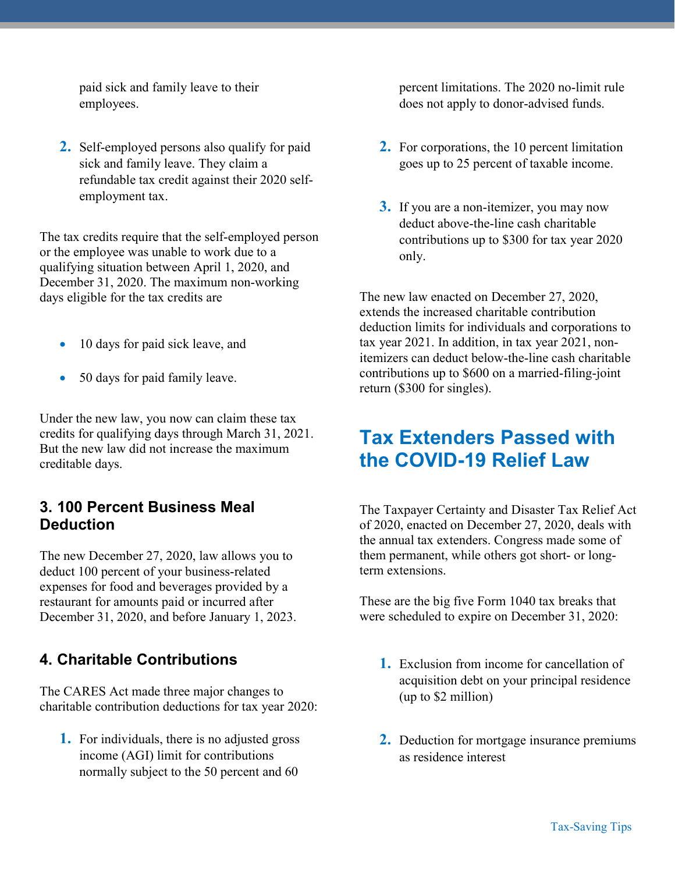paid sick and family leave to their employees.

2. Self-employed persons also qualify for paid sick and family leave. They claim a refundable tax credit against their 2020 selfemployment tax.

The tax credits require that the self-employed person or the employee was unable to work due to a qualifying situation between April 1, 2020, and December 31, 2020. The maximum non-working days eligible for the tax credits are

- 10 days for paid sick leave, and
- 50 days for paid family leave.

Under the new law, you now can claim these tax credits for qualifying days through March 31, 2021. But the new law did not increase the maximum creditable days.

#### 3. 100 Percent Business Meal **Deduction**

The new December 27, 2020, law allows you to deduct 100 percent of your business-related expenses for food and beverages provided by a restaurant for amounts paid or incurred after December 31, 2020, and before January 1, 2023.

### 4. Charitable Contributions

The CARES Act made three major changes to charitable contribution deductions for tax year 2020:

1. For individuals, there is no adjusted gross income (AGI) limit for contributions normally subject to the 50 percent and 60

percent limitations. The 2020 no-limit rule does not apply to donor-advised funds.

- 2. For corporations, the 10 percent limitation goes up to 25 percent of taxable income.
- **3.** If you are a non-itemizer, you may now deduct above-the-line cash charitable contributions up to \$300 for tax year 2020 only.

The new law enacted on December 27, 2020, extends the increased charitable contribution deduction limits for individuals and corporations to tax year 2021. In addition, in tax year 2021, nonitemizers can deduct below-the-line cash charitable contributions up to \$600 on a married-filing-joint return (\$300 for singles).

### Tax Extenders Passed with the COVID-19 Relief Law

The Taxpayer Certainty and Disaster Tax Relief Act of 2020, enacted on December 27, 2020, deals with the annual tax extenders. Congress made some of them permanent, while others got short- or longterm extensions.

These are the big five Form 1040 tax breaks that were scheduled to expire on December 31, 2020:

- 1. Exclusion from income for cancellation of acquisition debt on your principal residence (up to \$2 million)
- 2. Deduction for mortgage insurance premiums as residence interest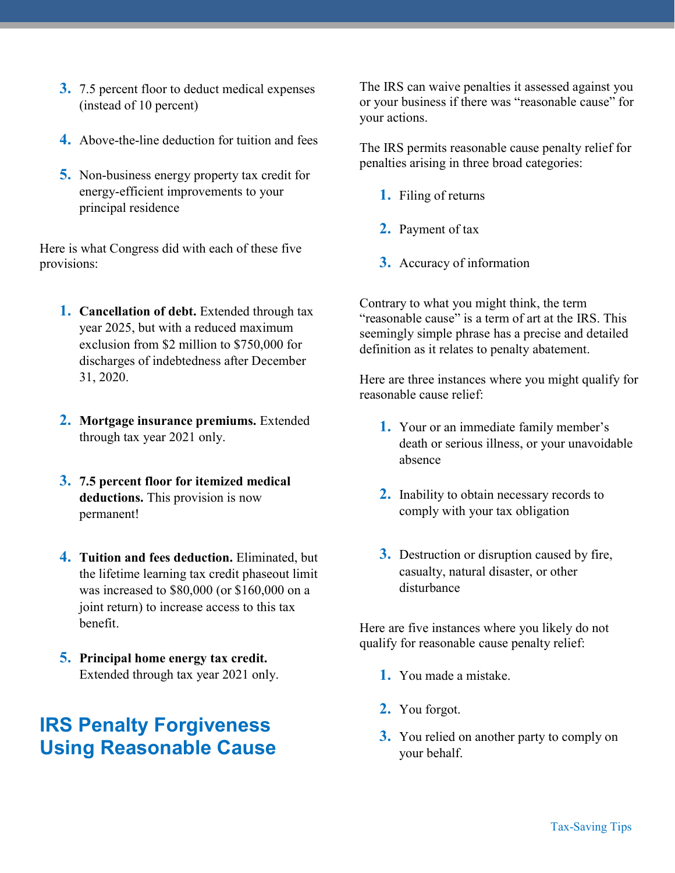- 3. 7.5 percent floor to deduct medical expenses (instead of 10 percent)
- 4. Above-the-line deduction for tuition and fees
- 5. Non-business energy property tax credit for energy-efficient improvements to your principal residence

Here is what Congress did with each of these five provisions:

- **1. Cancellation of debt.** Extended through tax year 2025, but with a reduced maximum exclusion from \$2 million to \$750,000 for discharges of indebtedness after December 31, 2020.
- 2. Mortgage insurance premiums. Extended through tax year 2021 only.
- 3. 7.5 percent floor for itemized medical deductions. This provision is now permanent!
- 4. Tuition and fees deduction. Eliminated, but the lifetime learning tax credit phaseout limit was increased to \$80,000 (or \$160,000 on a joint return) to increase access to this tax benefit.
- 5. Principal home energy tax credit. Extended through tax year 2021 only.

### IRS Penalty Forgiveness Using Reasonable Cause

The IRS can waive penalties it assessed against you or your business if there was "reasonable cause" for your actions.

The IRS permits reasonable cause penalty relief for penalties arising in three broad categories:

- 1. Filing of returns
- 2. Payment of tax
- 3. Accuracy of information

Contrary to what you might think, the term "reasonable cause" is a term of art at the IRS. This seemingly simple phrase has a precise and detailed definition as it relates to penalty abatement.

Here are three instances where you might qualify for reasonable cause relief:

- 1. Your or an immediate family member's death or serious illness, or your unavoidable absence
- 2. Inability to obtain necessary records to comply with your tax obligation
- 3. Destruction or disruption caused by fire, casualty, natural disaster, or other disturbance

Here are five instances where you likely do not qualify for reasonable cause penalty relief:

- 1. You made a mistake.
- 2. You forgot.
- 3. You relied on another party to comply on your behalf.